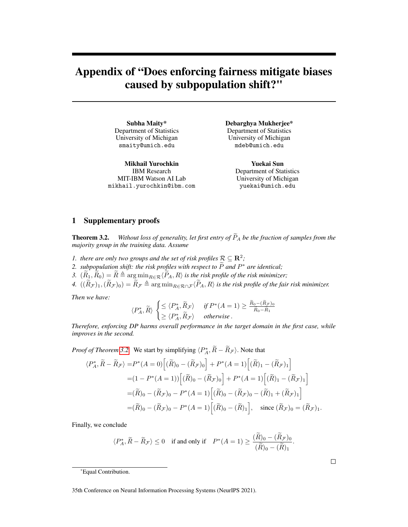# <span id="page-0-0"></span>Appendix of "Does enforcing fairness mitigate biases caused by subpopulation shift?"

Subha Maity\* Department of Statistics University of Michigan smaity@umich.edu

Mikhail Yurochkin IBM Research MIT-IBM Watson AI Lab mikhail.yurochkin@ibm.com Debarghya Mukherjee\* Department of Statistics University of Michigan mdeb@umich.edu

> Yuekai Sun Department of Statistics University of Michigan yuekai@umich.edu

## 1 Supplementary proofs

**Theorem 3.2.** *Without loss of generality, let first entry of*  $\widetilde{P}_A$  *be the fraction of samples from the majority group in the training data. Assume*

- *1. there are only two groups and the set of risk profiles*  $\mathcal{R} \subseteq \mathbb{R}^2$ ;
- *2. subpopulation shift: the risk profiles with respect to*  $\widetilde{P}$  *and*  $P^*$  *are identical;*
- *3.*  $(\widetilde{R}_1, \widetilde{R}_0) = \widetilde{R} \triangleq \arg \min_{R \in \mathcal{R}} \langle \widetilde{P}_A, R \rangle$  *is the risk profile of the risk minimizer*;
- *4.*  $((\widetilde{R}_{\mathcal{F}})_1,(\widetilde{R}_{\mathcal{F}})_0) = \widetilde{R}_{\mathcal{F}} \triangleq \argmin_{R \in \mathcal{R} \cap \mathcal{F}} \langle \widetilde{P}_A, R \rangle$  *is the risk profile of the fair risk minimizer.*

*Then we have:*

$$
\langle P_A^*, \widetilde{R} \rangle \begin{cases} \leq \langle P_A^*, \widetilde{R}_{\mathcal{F}} \rangle & \text{if } P^*(A=1) \geq \frac{\widetilde{R}_0 - (\widetilde{R}_{\mathcal{F}})_0}{\widetilde{R}_0 - \widetilde{R}_1} \\ \geq \langle P_A^*, \widetilde{R}_{\mathcal{F}} \rangle & \text{otherwise.} \end{cases}
$$

*Therefore, enforcing DP harms overall performance in the target domain in the first case, while improves in the second.*

*Proof of Theorem 3.2.* We start by simplifying  $\langle P_A^*, \tilde{R} - \tilde{R}_{\mathcal{F}} \rangle$ . Note that

$$
\langle P_A^*, \widetilde{R} - \widetilde{R}_{\mathcal{F}} \rangle = P^*(A = 0) \Big[ (\widetilde{R})_0 - (\widetilde{R}_{\mathcal{F}})_0 \Big] + P^*(A = 1) \Big[ (\widetilde{R})_1 - (\widetilde{R}_{\mathcal{F}})_1 \Big]
$$
  

$$
= (1 - P^*(A = 1)) \Big[ (\widetilde{R})_0 - (\widetilde{R}_{\mathcal{F}})_0 \Big] + P^*(A = 1) \Big[ (\widetilde{R})_1 - (\widetilde{R}_{\mathcal{F}})_1 \Big]
$$
  

$$
= (\widetilde{R})_0 - (\widetilde{R}_{\mathcal{F}})_0 - P^*(A = 1) \Big[ (\widetilde{R})_0 - (\widetilde{R}_{\mathcal{F}})_0 - (\widetilde{R})_1 + (\widetilde{R}_{\mathcal{F}})_1 \Big]
$$
  

$$
= (\widetilde{R})_0 - (\widetilde{R}_{\mathcal{F}})_0 - P^*(A = 1) \Big[ (\widetilde{R})_0 - (\widetilde{R})_1 \Big], \text{ since } (\widetilde{R}_{\mathcal{F}})_0 = (\widetilde{R}_{\mathcal{F}})_1.
$$

Finally, we conclude

$$
\langle P_A^*, \widetilde{R} - \widetilde{R}_{\mathcal{F}} \rangle \le 0 \quad \text{if and only if} \quad P^*(A=1) \ge \frac{(\widetilde{R})_0 - (\widetilde{R}_{\mathcal{F}})_0}{(\widetilde{R})_0 - (\widetilde{R})_1}.
$$

<sup>\*</sup>Equal Contribution.

<sup>35</sup>th Conference on Neural Information Processing Systems (NeurIPS 2021).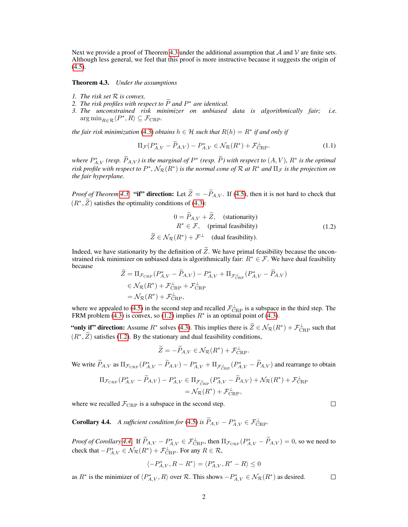Next we provide a proof of Theorem [4.3](#page-0-0) under the additional assumption that A and V are finite sets. Although less general, we feel that this proof is more instructive because it suggests the origin of  $(4.5)$ .

Theorem 4.3. *Under the assumptions*

- *1. The risk set* R *is convex.*
- *2. The risk profiles with respect to*  $\tilde{P}$  *and*  $P^*$  *are identical.*<br>
<sup>2</sup>. The *magneticinal* with minimizer and unkined.
- *3. The unconstrained risk minimizer on unbiased data is algorithmically fair; i.e.*  $\arg \min_{R \in \mathcal{R}} \langle P^*, R \rangle \subseteq \mathcal{F}_{CRP}$ .

*the fair risk minimization* [\(4.3\)](#page-0-0) *obtains*  $h \in \mathcal{H}$  *such that*  $R(h) = R^*$  *if and only if* 

$$
\Pi_{\mathcal{F}}(P_{A,V}^* - \tilde{P}_{A,V}) - P_{A,V}^* \in \mathcal{N}_{\mathcal{R}}(R^*) + \mathcal{F}_{\text{CRP}}^{\perp}.
$$
 (1.1)

*where*  $P_{A,V}^*$  (resp.  $\widetilde{P}_{A,V}$ ) is the marginal of  $P^*$  (resp.  $\widetilde{P}$ ) with respect to  $(A, V)$ ,  $R^*$  is the optimal risk profile with respect to  $P^*$ ,  $\mathcal{N}_\mathcal{R}(R^*)$  is the normal cone of  $\mathcal R$  at  $R^*$  and  $\Pi_\mathcal{F}$  is the projection on *the fair hyperplane.*

*Proof of Theorem* [4.3.](#page-0-0) "if" direction: Let  $\widetilde{Z} = -\widetilde{P}_{A,V}$ . If [\(4.5\)](#page-0-0), then it is not hard to check that  $(R^*, \tilde{Z})$  satisfies the optimality conditions of [\(4.3\)](#page-0-0):

<span id="page-1-0"></span>
$$
0 = \widetilde{P}_{A,V} + \widetilde{Z}, \quad \text{(stationarity)}
$$
\n
$$
R^* \in \mathcal{F}, \quad \text{(primal feasibility)}
$$
\n
$$
\widetilde{Z} \in \mathcal{N}_{\mathcal{R}}(R^*) + \mathcal{F}^\perp \quad \text{(dual feasibility)}.
$$
\n(1.2)

Indeed, we have stationarity by the definition of  $\widetilde{Z}$ . We have primal feasibility because the unconstrained risk minimizer on unbiased data is algorithmically fair:  $R^* \in \mathcal{F}$ . We have dual feasibility because

$$
\widetilde{Z} = \Pi_{\mathcal{F}_{\text{CRP}}}(P_{A,V}^* - \widetilde{P}_{A,V}) - P_{A,V}^* + \Pi_{\mathcal{F}_{\text{CRP}}^{\perp}}(P_{A,V}^* - \widetilde{P}_{A,V}) \n\in \mathcal{N}_{\mathcal{R}}(R^*) + \mathcal{F}_{\text{CRP}}^{\perp} + \mathcal{F}_{\text{CRP}}^{\perp} \n= \mathcal{N}_{\mathcal{R}}(R^*) + \mathcal{F}_{\text{CRP}}^{\perp},
$$

where we appealed to [\(4.5\)](#page-0-0) in the second step and recalled  $\mathcal{F}_{CRP}^{\perp}$  is a subspace in the third step. The FRM problem [\(4.3\)](#page-0-0) is convex, so [\(1.2\)](#page-1-0) implies  $R^*$  is an optimal point of (4.3).

"only if" direction: Assume  $R^*$  solves [\(4.3\)](#page-0-0). This implies there is  $\widetilde{Z} \in \mathcal{N}_{\mathcal{R}}(R^*) + \mathcal{F}_{\text{CRP}}^{\perp}$  such that  $(R^*, \tilde{Z})$  satisfies [\(1.2\)](#page-1-0). By the stationary and dual feasibility conditions,

$$
\widetilde{Z} = -\widetilde{P}_{A,V} \in \mathcal{N}_{\mathcal{R}}(R^*) + \mathcal{F}_{\text{CRP}}^{\perp}.
$$

We write  $\widetilde{P}_{A,V}$  as  $\Pi_{\mathcal{F}_{CRP}}(P_{A,V}^* - \widetilde{P}_{A,V}) - P_{A,V}^* + \Pi_{\mathcal{F}_{CRP}^\perp}(P_{A,V}^* - \widetilde{P}_{A,V})$  and rearrange to obtain

$$
\Pi_{\mathcal{F}_{\text{CRP}}}(P_{A,V}^* - \widetilde{P}_{A,V}) - P_{A,V}^* \in \Pi_{\mathcal{F}_{\text{CRP}}^{\perp}}(P_{A,V}^* - \widetilde{P}_{A,V}) + \mathcal{N}_{\mathcal{R}}(R^*) + \mathcal{F}_{\text{CRP}}^{\perp}
$$
\n
$$
= \mathcal{N}_{\mathcal{R}}(R^*) + \mathcal{F}_{\text{CRP}}^{\perp},
$$

where we recalled  $\mathcal{F}_{CRP}$  is a subspace in the second step.

**Corollary 4.4.** *A sufficient condition for* [\(4.5\)](#page-0-0) *is*  $\widetilde{P}_{A,V} - P_{A,V}^* \in \mathcal{F}_{\text{CRP}}^{\perp}$ .

*Proof of Corollary* [4.4.](#page-0-0) If  $\widetilde{P}_{A,V} - P_{A,V}^* \in \mathcal{F}_{CRP}^{\perp}$ , then  $\Pi_{\mathcal{F}_{CRP}}(P_{A,V}^* - \widetilde{P}_{A,V}) = 0$ , so we need to check that  $-P_{A,V}^* \in \mathcal{N}_{\mathcal{R}}(R^*) + \mathcal{F}_{\text{CRP}}^{\perp}$ . For any  $R \in \mathcal{R}$ ,

$$
\langle -P^*_{A,V}, R-R^*\rangle = \langle P^*_{A,V}, R^*-R\rangle \leq 0
$$

as  $R^*$  is the minimizer of  $\langle P_{A,V}^*, R \rangle$  over  $\mathcal{R}$ . This shows  $-P_{A,V}^* \in \mathcal{N}_{\mathcal{R}}(R^*)$  as desired.  $\Box$ 

 $\Box$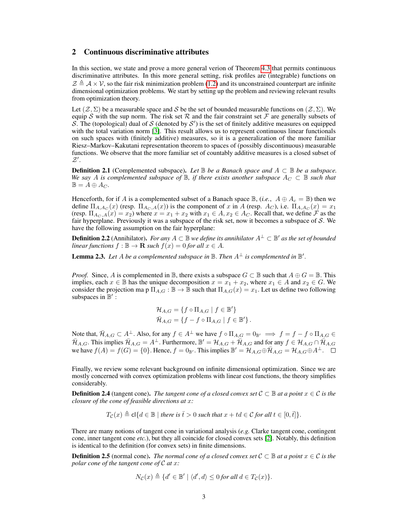# 2 Continuous discriminative attributes

In this section, we state and prove a more general verion of Theorem [4.3](#page-0-0) that permits continuous discriminative attributes. In this more general setting, risk profiles are (integrable) functions on  $\mathcal{Z} \triangleq \mathcal{A} \times \mathcal{V}$ , so the fair risk minimization problem [\(1.2\)](#page-1-0) and its unconstrained counterpart are infinite dimensional optimization problems. We start by setting up the problem and reviewing relevant results from optimization theory.

Let  $(\mathcal{Z}, \Sigma)$  be a measurable space and S be the set of bounded measurable functions on  $(\mathcal{Z}, \Sigma)$ . We equip S with the sup norm. The risk set  $R$  and the fair constraint set  $\mathcal F$  are generally subsets of S. The (topological) dual of S (denoted by  $S'$ ) is the set of finitely additive measures on equipped with the total variation norm [\[3\]](#page-4-0). This result allows us to represent continuous linear functionals on such spaces with (finitely additive) measures, so it is a generalization of the more familiar Riesz–Markov–Kakutani representation theorem to spaces of (possibly discontinuous) measurable functions. We observe that the more familiar set of countably additive measures is a closed subset of  $\mathcal{Z}^\prime.$ 

**Definition 2.1** (Complemented subspace). *Let*  $\mathbb B$  *be a Banach space and*  $A \subset \mathbb B$  *be a subspace. We say* A *is complemented subspace of*  $\mathbb{B}$ *, if there exists another subspace*  $A_C \subset \mathbb{B}$  *such that*  $\mathbb{B} = A \oplus A_C.$ 

Henceforth, for if A is a complemented subset of a Banach space  $\mathbb{B}$ , (*i.e.*,  $A \oplus A_c = \mathbb{B}$ ) then we define  $\Pi_{A,A_C}(x)$  (resp.  $\Pi_{A_C,A}(x)$ ) is the component of x in A (resp.  $A_C$ ), i.e.  $\Pi_{A,A_C}(x) = x_1$ (resp.  $\Pi_{A_C, A}(x) = x_2$ ) where  $x = x_1 + x_2$  with  $x_1 \in A, x_2 \in A_C$ . Recall that, we define  $\mathcal F$  as the fair hyperplane. Previously it was a subspace of the risk set, now it becomes a subspace of  $S$ . We have the following assumption on the fair hyperplane:

**Definition 2.2** (Annihilator). *For any*  $A ⊂ \mathbb{B}$  *we define its annihilator*  $A^{\perp} ⊂ \mathbb{B}'$  *as the set of bounded linear functions*  $f : \mathbb{B} \to \mathbf{R}$  *such*  $f(x) = 0$  *for all*  $x \in A$ *.* 

**Lemma 2.3.** Let A be a complemented subspace in  $\mathbb B$ . Then  $A^{\perp}$  is complemented in  $\mathbb B'$ .

*Proof.* Since, A is complemented in B, there exists a subspace  $G \subset \mathbb{B}$  such that  $A \oplus G = \mathbb{B}$ . This implies, each  $x \in \mathbb{B}$  has the unique decomposition  $x = x_1 + x_2$ , where  $x_1 \in A$  and  $x_2 \in G$ . We consider the projection ma p  $\Pi_{A,G}$ :  $\mathbb{B} \to \mathbb{B}$  such that  $\Pi_{A,G}(x) = x_1$ . Let us define two following subspaces in  $\mathbb{B}'$ :

$$
\mathcal{H}_{A,G} = \{ f \circ \Pi_{A,G} \mid f \in \mathbb{B}' \}
$$
  

$$
\bar{\mathcal{H}}_{A,G} = \{ f - f \circ \Pi_{A,G} \mid f \in \mathbb{B}' \}.
$$

Note that,  $\bar{\mathcal{H}}_{A,G} \subset A^{\perp}$ . Also, for any  $f \in A^{\perp}$  we have  $f \circ \Pi_{A,G} = 0_{\mathbb{B}'} \implies f = f - f \circ \Pi_{A,G} \in A$  $\bar{\mathcal{H}}_{A,G}$ . This implies  $\bar{\mathcal{H}}_{A,G} = A^{\perp}$ . Furthermore,  $\mathbb{B}' = \mathcal{H}_{A,G} + \bar{\mathcal{H}}_{A,G}$  and for any  $f \in \mathcal{H}_{A,G} \cap \bar{\mathcal{H}}_{A,G}$ we have  $f(A) = f(G) = \{0\}$ . Hence,  $f = 0_B$ . This implies  $\mathbb{B}' = \mathcal{H}_{A,G} \oplus \overline{\mathcal{H}}_{A,G} = \mathcal{H}_{A,G} \oplus A^{\perp}$ .

Finally, we review some relevant background on infinite dimensional optimization. Since we are mostly concerned with convex optimization problems with linear cost functions, the theory simplifies considerably.

**Definition 2.4** (tangent cone). *The tangent cone of a closed convex set*  $C \subseteq \mathbb{B}$  *at a point*  $x \in C$  *is the closure of the cone of feasible directions at* x*:*

$$
T_{\mathcal{C}}(x) \triangleq \text{cl}\{d \in \mathbb{B} \mid \text{there is } \overline{t} > 0 \text{ such that } x + td \in \mathcal{C} \text{ for all } t \in [0, \overline{t}]\}.
$$

There are many notions of tangent cone in variational analysis (*e.g.* Clarke tangent cone, contingent cone, inner tangent cone *etc.*), but they all coincide for closed convex sets [\[2\]](#page-4-1). Notably, this definition is identical to the definition (for convex sets) in finite dimensions.

**Definition 2.5** (normal cone). *The normal cone of a closed convex set*  $C \subset \mathbb{B}$  *at a point*  $x \in C$  *is the polar cone of the tangent cone of* C *at* x*:*

$$
N_{\mathcal{C}}(x) \triangleq \{d' \in \mathbb{B}' \mid \langle d', d \rangle \leq 0 \text{ for all } d \in T_{\mathcal{C}}(x)\}.
$$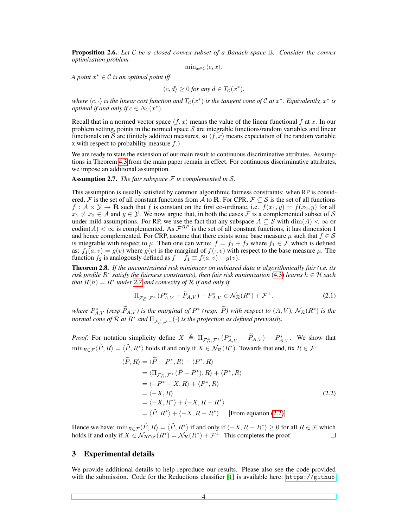Proposition 2.6. *Let* C *be a closed convex subset of a Banach space* B*. Consider the convex optimization problem*

$$
\min\n<\varepsilon \in \mathcal{C}\langle c, x \rangle.
$$

*A point* x <sup>∗</sup> ∈ C *is an optimal point iff*

$$
\langle c, d \rangle \ge 0 \text{ for any } d \in T_{\mathcal{C}}(x^*),
$$

where  $\langle c, \cdot \rangle$  is the linear cost function and  $T_{\mathcal{C}}(x^*)$  is the tangent cone of  $\mathcal C$  at  $x^*$ . Equivalently,  $x^*$  is *optimal if and only if*  $c \in N_{\mathcal{C}}(x^*)$ .

Recall that in a normed vector space  $\langle f, x \rangle$  means the value of the linear functional f at x. In our problem setting, points in the normed space  $S$  are integrable functions/random variables and linear functionals on S are (finitely additive) measures, so  $\langle f, x \rangle$  means expectation of the random variable x with respect to probability measure  $f$ .)

We are ready to state the extension of our main result to continuous discriminative attributes. Assumptions in Theorem [4.3](#page-0-0) from the main paper remain in effect. For continuous discriminative attributes, we impose an additional assumption.

<span id="page-3-0"></span>Assumption 2.7. *The fair subspace* F *is complemented in* S*.*

This assumption is usually satisfied by common algorithmic fairness constraints: when RP is considered, F is the set of all constant functions from A to R. For CPR,  $\mathcal{F} \subseteq \mathcal{S}$  is the set of all functions  $f: \mathcal{A} \times \mathcal{Y} \to \mathbf{R}$  such that f is constant on the first co-ordinate, i.e.  $f(x_1, y) = f(x_2, y)$  for all  $x_1 \neq x_2 \in A$  and  $y \in Y$ . We now argue that, in both the cases F is a complemented subset of S under mild assumptions. For RP, we use the fact that any subspace  $A \subseteq S$  with  $\dim(A) < \infty$  or codim $(A) < \infty$  is complemented. As  $\mathcal{F}^{RP}$  is the set of all constant functions, it has dimension 1 and hence complemented. For CRP, assume that there exists some base measure  $\mu$  such that  $f \in \mathcal{S}$ is integrable with respect to  $\mu$ . Then one can write:  $f = f_1 + f_2$  where  $f_1 \in \mathcal{F}$  which is defined as:  $f_1(a, v) = g(v)$  where  $g(v)$  is the marginal of  $f(\cdot, v)$  with respect to the base measure  $\mu$ . The function  $f_2$  is analogously defined as  $f - f_1 \equiv f(a, v) - g(v)$ .

Theorem 2.8. *If the unconstrained risk minimizer on unbiased data is algorithmically fair (i.e. its risk profile* R<sup>∗</sup> *satisfy the fairness constraints), then fair risk minimization* [\(4.3\)](#page-0-0) *learns* h ∈ H *such that*  $R(h) = R^*$  *under* [2.7](#page-3-0) *and convexity of*  $R$  *if and only if* 

$$
\Pi_{\mathcal{F}_C^{\perp}, \mathcal{F}^{\perp}}(P_{A,V}^* - \widetilde{P}_{A,V}) - P_{A,V}^* \in \mathcal{N}_{\mathcal{R}}(R^*) + \mathcal{F}^{\perp}.
$$
 (2.1)

*where*  $P_{A,V}^*$  (resp.  $P_{A,V}$ ) *is the marginal of*  $P^*$  (resp.  $\tilde{P}$ ) with respect to  $(A, V)$ ,  $\mathcal{N}_{\mathcal{R}}(R^*)$  *is the normal cone of*  $\mathcal R$  *at*  $R^*$  *and*  $\Pi_{\mathcal F_C^\perp,\mathcal F^\perp}(\cdot)$  *is the projection as defined previously.* 

*Proof.* For notation simplicity define  $X \triangleq \Pi_{\mathcal{F}_C^{\perp},\mathcal{F}^{\perp}}(P_{A,V}^* - \widetilde{P}_{A,V}) - P_{A,V}^*$ . We show that  $\min_{R \in \mathcal{F}} \langle \widetilde{P}, R \rangle = \langle \widetilde{P}, R^* \rangle$  holds if and only if  $X \in \mathcal{N}_{\mathcal{R}}(R^*)$ . Towards that end, fix  $R \in \mathcal{F}$ :

<span id="page-3-1"></span>
$$
\langle \widetilde{P}, R \rangle = \langle \widetilde{P} - P^*, R \rangle + \langle P^*, R \rangle
$$
  
\n
$$
= \langle \Pi_{\mathcal{F}_G^{\perp}, \mathcal{F}^{\perp}} (\widetilde{P} - P^*), R \rangle + \langle P^*, R \rangle
$$
  
\n
$$
= \langle -P^* - X, R \rangle + \langle P^*, R \rangle
$$
  
\n
$$
= \langle -X, R \rangle
$$
  
\n
$$
= \langle -X, R^* \rangle + \langle -X, R - R^* \rangle
$$
  
\n
$$
= \langle \widetilde{P}, R^* \rangle + \langle -X, R - R^* \rangle
$$
 [From equation (2.2)]

Hence we have:  $\min_{R \in \mathcal{F}} \langle \widetilde{P}, R \rangle = \langle \widetilde{P}, R^* \rangle$  if and only if  $\langle -X, R - R^* \rangle \ge 0$  for all  $R \in \mathcal{F}$  which holds if and only if  $X \in \mathcal{N}_{\mathcal{R}\cap \mathcal{F}}(R^*) = \mathcal{N}_{\mathcal{R}}(R^*) + \mathcal{F}^\perp$ . This completes the proof.

# 3 Experimental details

We provide additional details to help reproduce our results. Please also see the code provided with the submission. Code for the Reductions classifier [\[1\]](#page-4-2) is available here: [https://github.](https://github.com/fairlearn/fairlearn)